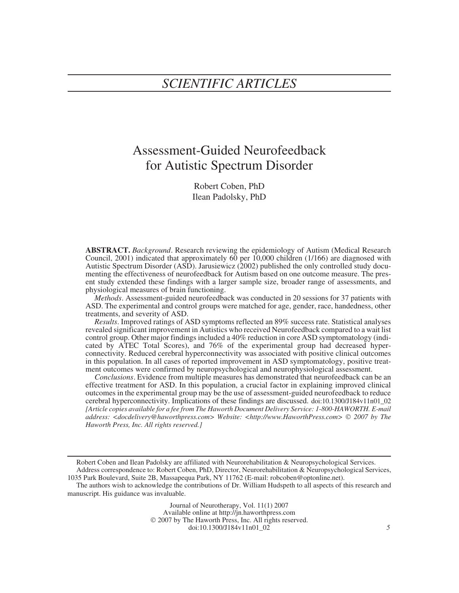# Assessment-Guided Neurofeedback for Autistic Spectrum Disorder

Robert Coben, PhD Ilean Padolsky, PhD

**ABSTRACT.** *Background*. Research reviewing the epidemiology of Autism (Medical Research Council, 2001) indicated that approximately  $60$  per 10,000 children (1/166) are diagnosed with Autistic Spectrum Disorder (ASD). Jarusiewicz (2002) published the only controlled study documenting the effectiveness of neurofeedback for Autism based on one outcome measure. The present study extended these findings with a larger sample size, broader range of assessments, and physiological measures of brain functioning.

*Methods*. Assessment-guided neurofeedback was conducted in 20 sessions for 37 patients with ASD. The experimental and control groups were matched for age, gender, race, handedness, other treatments, and severity of ASD.

*Results*. Improved ratings of ASD symptoms reflected an 89% success rate. Statistical analyses revealed significant improvement in Autistics who received Neurofeedback compared to a wait list control group. Other major findings included a 40% reduction in core ASD symptomatology (indicated by ATEC Total Scores), and 76% of the experimental group had decreased hyperconnectivity. Reduced cerebral hyperconnectivity was associated with positive clinical outcomes in this population. In all cases of reported improvement in ASD symptomatology, positive treatment outcomes were confirmed by neuropsychological and neurophysiological assessment.

*Conclusions*. Evidence from multiple measures has demonstrated that neurofeedback can be an effective treatment for ASD. In this population, a crucial factor in explaining improved clinical outcomes in the experimental group may be the use of assessment-guided neurofeedback to reduce cerebral hyperconnectivity. Implications of these findings are discussed. doi:10.1300/J184v11n01\_02 *[Article copies available for a fee from The Haworth Document Delivery Service: 1-800-HAWORTH. E-mail address: <docdelivery@haworthpress.com> Website: <http://www.HaworthPress.com>* © *2007 by The Haworth Press, Inc. All rights reserved.]*

Journal of Neurotherapy, Vol. 11(1) 2007

Available online at http://jn.haworthpress.com

© 2007 by The Haworth Press, Inc. All rights reserved.

doi:10.1300/J184v11n01\_02 *5*

Robert Coben and Ilean Padolsky are affiliated with Neurorehabilitation & Neuropsychological Services.

Address correspondence to: Robert Coben, PhD, Director, Neurorehabilitation & Neuropsychological Services, 1035 Park Boulevard, Suite 2B, Massapequa Park, NY 11762 (E-mail: robcoben@optonline.net).

The authors wish to acknowledge the contributions of Dr. William Hudspeth to all aspects of this research and manuscript. His guidance was invaluable.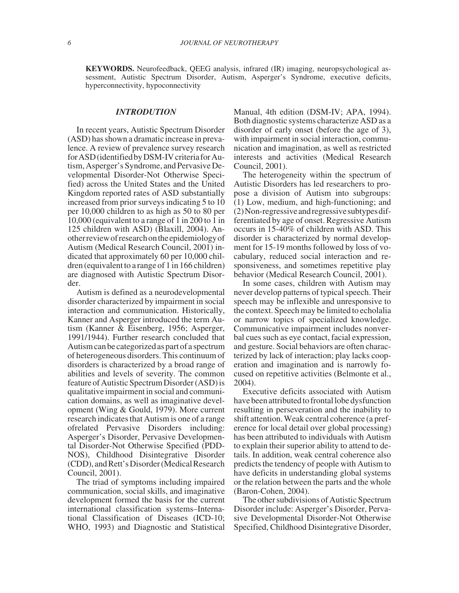**KEYWORDS.** Neurofeedback, QEEG analysis, infrared (IR) imaging, neuropsychological assessment, Autistic Spectrum Disorder, Autism, Asperger's Syndrome, executive deficits, hyperconnectivity, hypoconnectivity

# *INTRODUTION*

In recent years, Autistic Spectrum Disorder (ASD) has shown a dramatic increase in prevalence. A review of prevalence survey research forASD(identifiedbyDSM-IV criteriaforAutism, Asperger's Syndrome, and Pervasive Developmental Disorder-Not Otherwise Specified) across the United States and the United Kingdom reported rates of ASD substantially increased from prior surveys indicating 5 to 10 per 10,000 children to as high as 50 to 80 per 10,000 (equivalent to a range of 1 in 200 to 1 in 125 children with ASD) (Blaxill, 2004). Anotherreviewofresearchontheepidemiologyof Autism (Medical Research Council, 2001) indicated that approximately 60 per 10,000 children (equivalent to a range of 1 in 166 children) are diagnosed with Autistic Spectrum Disorder.

Autism is defined as a neurodevelopmental disorder characterized by impairment in social interaction and communication. Historically, Kanner and Asperger introduced the term Autism (Kanner & Eisenberg, 1956; Asperger, 1991/1944). Further research concluded that Autism can be categorizedas part of a spectrum of heterogeneous disorders. This continuum of disorders is characterized by a broad range of abilities and levels of severity. The common feature of Autistic Spectrum Disorder (ASD) is qualitative impairment in social and communication domains, as well as imaginative development (Wing & Gould, 1979). More current research indicates that Autism is one of a range ofrelated Pervasive Disorders including: Asperger's Disorder, Pervasive Developmental Disorder-Not Otherwise Specified (PDD-NOS), Childhood Disintegrative Disorder (CDD), and Rett's Disorder (Medical Research Council, 2001).

The triad of symptoms including impaired communication, social skills, and imaginative development formed the basis for the current international classification systems–International Classification of Diseases (ICD-10; WHO, 1993) and Diagnostic and Statistical

Manual, 4th edition (DSM-IV; APA, 1994). Both diagnostic systems characterize ASD as a disorder of early onset (before the age of 3), with impairment in social interaction, communication and imagination, as well as restricted interests and activities (Medical Research Council, 2001).

The heterogeneity within the spectrum of Autistic Disorders has led researchers to propose a division of Autism into subgroups: (1) Low, medium, and high-functioning; and (2)Non-regressiveandregressivesubtypesdifferentiated by age of onset. Regressive Autism occurs in 15-40% of children with ASD. This disorder is characterized by normal development for 15-19 months followed by loss of vocabulary, reduced social interaction and responsiveness, and sometimes repetitive play behavior (Medical Research Council, 2001).

In some cases, children with Autism may never develop patterns of typical speech. Their speech may be inflexible and unresponsive to the context. Speech may be limited to echolalia or narrow topics of specialized knowledge. Communicative impairment includes nonverbal cues such as eye contact, facial expression, and gesture. Social behaviors are often characterized by lack of interaction; play lacks cooperation and imagination and is narrowly focused on repetitive activities (Belmonte et al., 2004).

Executive deficits associated with Autism have been attributed to frontal lobe dysfunction resulting in perseveration and the inability to shift attention. Weak central coherence (a preference for local detail over global processing) has been attributed to individuals with Autism to explain their superior ability to attend to details. In addition, weak central coherence also predicts the tendency of people with Autism to have deficits in understanding global systems or the relation between the parts and the whole (Baron-Cohen, 2004).

The other subdivisions of Autistic Spectrum Disorder include: Asperger's Disorder, Pervasive Developmental Disorder-Not Otherwise Specified, Childhood Disintegrative Disorder,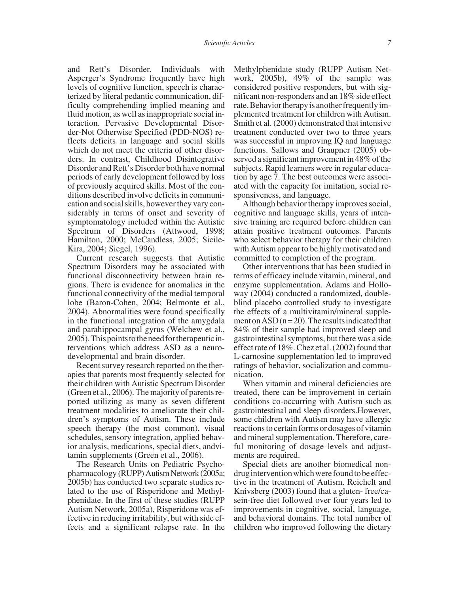and Rett's Disorder. Individuals with Asperger's Syndrome frequently have high levels of cognitive function, speech is characterized by literal pedantic communication, difficulty comprehending implied meaning and fluid motion, as well as inappropriate social interaction. Pervasive Developmental Disorder-Not Otherwise Specified (PDD-NOS) reflects deficits in language and social skills which do not meet the criteria of other disorders. In contrast, Childhood Disintegrative Disorder and Rett's Disorder both have normal periods of early development followed by loss of previously acquired skills. Most of the conditions described involve deficits in communication and social skills, however they vary considerably in terms of onset and severity of symptomatology included within the Autistic Spectrum of Disorders (Attwood, 1998; Hamilton, 2000; McCandless, 2005; Sicile-Kira, 2004; Siegel, 1996).

Current research suggests that Autistic Spectrum Disorders may be associated with functional disconnectivity between brain regions. There is evidence for anomalies in the functional connectivity of the medial temporal lobe (Baron-Cohen, 2004; Belmonte et al., 2004). Abnormalities were found specifically in the functional integration of the amygdala and parahippocampal gyrus (Welchew et al., 2005).Thispointstotheneedfortherapeuticinterventions which address ASD as a neurodevelopmental and brain disorder.

Recent survey research reported on the therapies that parents most frequently selected for their children with Autistic Spectrum Disorder (Green et al., 2006). The majority of parents reported utilizing as many as seven different treatment modalities to ameliorate their children's symptoms of Autism. These include speech therapy (the most common), visual schedules, sensory integration, applied behavior analysis, medications, special diets, andvitamin supplements (Green et al., 2006).

The Research Units on Pediatric Psychopharmacology (RUPP) Autism Network (2005a; 2005b) has conducted two separate studies related to the use of Risperidone and Methylphenidate. In the first of these studies (RUPP Autism Network, 2005a), Risperidone was effective in reducing irritability, but with side effects and a significant relapse rate. In the

Methylphenidate study (RUPP Autism Network, 2005b), 49% of the sample was considered positive responders, but with significant non-responders and an 18% side effect rate. Behavior therapy is another frequently implemented treatment for children with Autism. Smith et al. (2000) demonstrated that intensive treatment conducted over two to three years was successful in improving IQ and language functions. Sallows and Graupner (2005) observed a significant improvement in 48% of the subjects. Rapid learners were in regular education by age 7. The best outcomes were associated with the capacity for imitation, social responsiveness, and language.

Although behavior therapy improves social, cognitive and language skills, years of intensive training are required before children can attain positive treatment outcomes. Parents who select behavior therapy for their children with Autism appear to be highly motivated and committed to completion of the program.

Other interventions that has been studied in terms of efficacy include vitamin, mineral, and enzyme supplementation. Adams and Holloway (2004) conducted a randomized, doubleblind placebo controlled study to investigate the effects of a multivitamin/mineral supplement on  $ASD(n=20)$ . The results indicated that 84% of their sample had improved sleep and gastrointestinal symptoms, but there was a side effect rate of 18%. Chez et al. (2002) found that L-carnosine supplementation led to improved ratings of behavior, socialization and communication.

When vitamin and mineral deficiencies are treated, there can be improvement in certain conditions co-occurring with Autism such as gastrointestinal and sleep disorders.However, some children with Autism may have allergic reactions to certain forms or dosages of vitamin and mineral supplementation. Therefore, careful monitoring of dosage levels and adjustments are required.

Special diets are another biomedical nondrug intervention which were found to be effective in the treatment of Autism. Reichelt and Knivsberg (2003) found that a gluten- free/casein-free diet followed over four years led to improvements in cognitive, social, language, and behavioral domains. The total number of children who improved following the dietary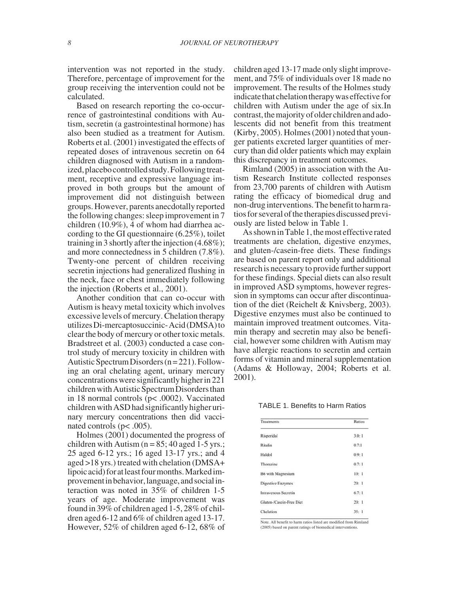intervention was not reported in the study. Therefore, percentage of improvement for the group receiving the intervention could not be calculated.

Based on research reporting the co-occurrence of gastrointestinal conditions with Autism, secretin (a gastrointestinal hormone) has also been studied as a treatment for Autism. Roberts et al. (2001) investigated the effects of repeated doses of intravenous secretin on 64 children diagnosed with Autism in a randomized, placebo controlled study. Following treatment, receptive and expressive language improved in both groups but the amount of improvement did not distinguish between groups. However, parents anecdotally reported the following changes: sleep improvement in 7 children (10.9%), 4 of whom had diarrhea according to the GI questionnaire (6.25%), toilet training in 3 shortly after the injection (4.68%); and more connectedness in 5 children (7.8%). Twenty-one percent of children receiving secretin injections had generalized flushing in the neck, face or chest immediately following the injection (Roberts et al., 2001).

Another condition that can co-occur with Autism is heavy metal toxicity which involves excessive levels of mercury. Chelation therapy utilizesDi-mercaptosuccinic-Acid(DMSA)to clear the body of mercury or other toxic metals. Bradstreet et al. (2003) conducted a case control study of mercury toxicity in children with Autistic Spectrum Disorders  $(n=221)$ . Following an oral chelating agent, urinary mercury concentrations were significantly higher in 221 children with Autistic Spectrum Disorders than in 18 normal controls (p< .0002). Vaccinated children with ASD had significantly higher urinary mercury concentrations then did vaccinated controls (p< .005).

Holmes (2001) documented the progress of children with Autism ( $n = 85$ ; 40 aged 1-5 yrs.; 25 aged 6-12 yrs.; 16 aged 13-17 yrs.; and 4 aged >18 yrs.) treated with chelation (DMSA+ lipoic acid) for at least four months. Marked improvement in behavior, language, and social interaction was noted in 35% of children 1-5 years of age. Moderate improvement was found in 39% of children aged 1-5, 28% of children aged 6-12 and 6% of children aged 13-17. However, 52% of children aged 6-12, 68% of children aged 13-17 made only slight improvement, and 75% of individuals over 18 made no improvement. The results of the Holmes study indicate that chelation therapy was effective for children with Autism under the age of six.In contrast, the majority of older children and adolescents did not benefit from this treatment (Kirby, 2005). Holmes (2001) noted that younger patients excreted larger quantities of mercury than did older patients which may explain this discrepancy in treatment outcomes.

Rimland (2005) in association with the Autism Research Institute collected responses from 23,700 parents of children with Autism rating the efficacy of biomedical drug and non-drug interventions. The benefit to harm ratios for several of the therapies discussed previously are listed below in Table 1.

As shown in Table1, the most effectiverated treatments are chelation, digestive enzymes, and gluten-/casein-free diets. These findings are based on parent report only and additional research is necessary to provide further support for these findings. Special diets can also result in improved ASD symptoms, however regression in symptoms can occur after discontinuation of the diet (Reichelt & Knivsberg, 2003). Digestive enzymes must also be continued to maintain improved treatment outcomes. Vitamin therapy and secretin may also be beneficial, however some children with Autism may have allergic reactions to secretin and certain forms of vitamin and mineral supplementation (Adams & Holloway, 2004; Roberts et al. 2001).

TABLE 1. Benefits to Harm Ratios

| <b>Treatments</b>           | Ratios |
|-----------------------------|--------|
| Risperidal                  | 3.0:1  |
| Ritalin                     | 0.7:1  |
| Haldol                      | 0.9:1  |
| Thorazine                   | 0.7:1  |
| <b>B6</b> with Magnesium    | 10:1   |
| Digestive Enzymes           | 20:1   |
| <b>Intravenous Secretin</b> | 6.7:1  |
| Gluten-/Casein-Free Diet    | 20:1   |
| Chelation                   | 35:1   |

Note. All benefit to harm ratios listed are modified from Rimland (2005) based on parent ratings of biomedical interventions.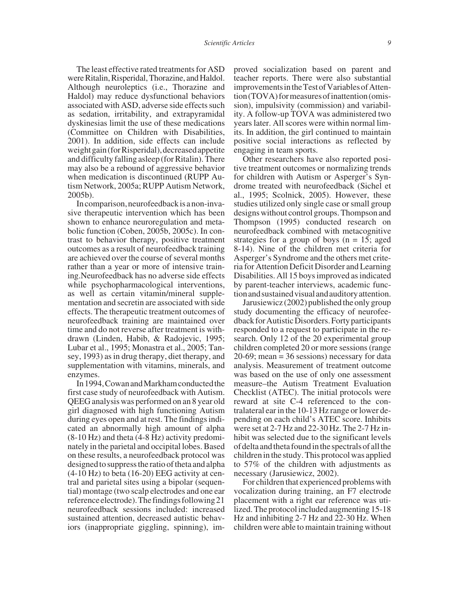The least effective rated treatments for ASD were Ritalin, Risperidal, Thorazine, and Haldol. Although neuroleptics (i.e., Thorazine and Haldol) may reduce dysfunctional behaviors associated with ASD, adverse side effects such as sedation, irritability, and extrapyramidal dyskinesias limit the use of these medications (Committee on Children with Disabilities, 2001). In addition, side effects can include weight gain (for Risperidal), decreased appetite and difficulty falling asleep (for Ritalin). There may also be a rebound of aggressive behavior when medication is discontinued (RUPP Autism Network, 2005a; RUPP Autism Network, 2005b).

In comparison, neurofeedback is a non-invasive therapeutic intervention which has been shown to enhance neuroregulation and metabolic function (Coben, 2005b, 2005c). In contrast to behavior therapy, positive treatment outcomes as a result of neurofeedback training are achieved over the course of several months rather than a year or more of intensive training.Neurofeedback has no adverse side effects while psychopharmacological interventions, as well as certain vitamin/mineral supplementation and secretin are associated with side effects. The therapeutic treatment outcomes of neurofeedback training are maintained over time and do not reverse after treatment is withdrawn (Linden, Habib, & Radojevic, 1995; Lubar et al., 1995; Monastra et al., 2005; Tansey, 1993) as in drug therapy, diet therapy, and supplementation with vitamins, minerals, and enzymes.

In1994,CowanandMarkhamconductedthe first case study of neurofeedback with Autism. QEEG analysis was performed on an 8 year old girl diagnosed with high functioning Autism during eyes open and at rest. The findings indicated an abnormally high amount of alpha (8-10 Hz) and theta (4-8 Hz) activity predominately in the parietal and occipital lobes. Based on these results, a neurofeedback protocol was designed to suppress the ratio of theta and alpha (4-10 Hz) to beta (16-20) EEG activity at central and parietal sites using a bipolar (sequential) montage (two scalp electrodes and one ear reference electrode). The findings following 21 neurofeedback sessions included: increased sustained attention, decreased autistic behaviors (inappropriate giggling, spinning), improved socialization based on parent and teacher reports. There were also substantial improvementsintheTestofVariablesofAttention (TOVA) for measures of inattention (omission), impulsivity (commission) and variability. A follow-up TOVA was administered two years later. All scores were within normal limits. In addition, the girl continued to maintain positive social interactions as reflected by engaging in team sports.

Other researchers have also reported positive treatment outcomes or normalizing trends for children with Autism or Asperger's Syndrome treated with neurofeedback (Sichel et al., 1995; Scolnick, 2005). However, these studies utilized only single case or small group designs without control groups. Thompson and Thompson (1995) conducted research on neurofeedback combined with metacognitive strategies for a group of boys  $(n = 15;$  aged 8-14). Nine of the children met criteria for Asperger's Syndrome and the others met criteria for Attention Deficit Disorder and Learning Disabilities. All 15 boys improved as indicated by parent-teacher interviews, academic functionandsustainedvisualandauditoryattention.

Jarusiewicz (2002) published the only group study documenting the efficacy of neurofeedback for Autistic Disorders. Forty participants responded to a request to participate in the research. Only 12 of the 20 experimental group children completed 20 or more sessions (range 20-69; mean = 36 sessions) necessary for data analysis. Measurement of treatment outcome was based on the use of only one assessment measure–the Autism Treatment Evaluation Checklist (ATEC). The initial protocols were reward at site C-4 referenced to the contralateral ear in the 10-13 Hz range or lower depending on each child's ATEC score. Inhibits were set at 2-7 Hz and 22-30 Hz. The 2-7 Hz inhibit was selected due to the significant levels ofdeltaandthetafoundinthespectralsofallthe children in the study. This protocol was applied to 57% of the children with adjustments as necessary (Jarusiewicz, 2002).

For children that experienced problems with vocalization during training, an F7 electrode placement with a right ear reference was utilized. The protocol included augmenting 15-18 Hz and inhibiting 2-7 Hz and 22-30 Hz. When children were able to maintain training without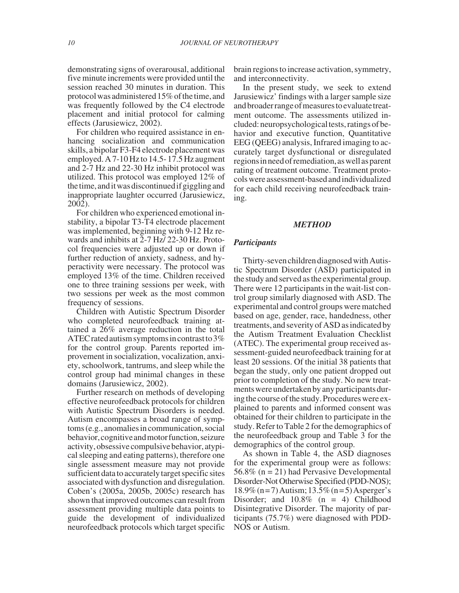demonstrating signs of overarousal, additional five minute increments were provided until the session reached 30 minutes in duration. This protocol was administered 15% of the time, and was frequently followed by the C4 electrode placement and initial protocol for calming effects (Jarusiewicz, 2002).

For children who required assistance in enhancing socialization and communication skills, a bipolar F3-F4 electrode placement was employed. A 7-10 Hz to 14.5- 17.5 Hz augment and 2-7 Hz and 22-30 Hz inhibit protocol was utilized. This protocol was employed 12% of thetime,anditwas discontinuedifgigglingand inappropriate laughter occurred (Jarusiewicz, 2002).

For children who experienced emotional instability, a bipolar T3-T4 electrode placement was implemented, beginning with 9-12 Hz rewards and inhibits at 2-7 Hz/ 22-30 Hz. Protocol frequencies were adjusted up or down if further reduction of anxiety, sadness, and hyperactivity were necessary. The protocol was employed 13% of the time. Children received one to three training sessions per week, with two sessions per week as the most common frequency of sessions.

Children with Autistic Spectrum Disorder who completed neurofeedback training attained a 26% average reduction in the total ATEC rated autism symptoms in contrast to  $3\%$ for the control group. Parents reported improvement in socialization, vocalization, anxiety, schoolwork, tantrums, and sleep while the control group had minimal changes in these domains (Jarusiewicz, 2002).

Further research on methods of developing effective neurofeedback protocols for children with Autistic Spectrum Disorders is needed. Autism encompasses a broad range of symptoms (e.g., anomalies in communication, social behavior, cognitive and motor function, seizure activity,obsessive compulsivebehavior,atypical sleeping and eating patterns), therefore one single assessment measure may not provide sufficient data to accurately target specific sites associated with dysfunction and disregulation. Coben's (2005a, 2005b, 2005c) research has shown that improved outcomes can result from assessment providing multiple data points to guide the development of individualized neurofeedback protocols which target specific

brain regions to increase activation, symmetry, and interconnectivity.

In the present study, we seek to extend Jarusiewicz' findings with a larger sample size and broader range of measures to evaluate treatment outcome. The assessments utilized included:neuropsychologicaltests, ratings of behavior and executive function, Quantitative EEG (QEEG) analysis, Infrared imaging to accurately target dysfunctional or disregulated regionsinneedofremediation,aswellasparent rating of treatment outcome. Treatment protocolswereassessment-basedandindividualized for each child receiving neurofeedback training.

#### *METHOD*

## *Participants*

Thirty-sevenchildrendiagnosed with Autistic Spectrum Disorder (ASD) participated in the study and served as the experimental group. There were 12 participants in the wait-list control group similarly diagnosed with ASD. The experimental and control groups were matched based on age, gender, race, handedness, other treatments,and severity of ASD as indicatedby the Autism Treatment Evaluation Checklist (ATEC). The experimental group received assessment-guided neurofeedback training for at least 20 sessions. Of the initial 38 patients that began the study, only one patient dropped out prior to completion of the study. No new treatments were undertaken by any participants during the course of the study. Procedures were explained to parents and informed consent was obtained for their children to participate in the study. Refer to Table 2 for the demographics of the neurofeedback group and Table 3 for the demographics of the control group.

As shown in Table 4, the ASD diagnoses for the experimental group were as follows: 56.8% (n = 21) had Pervasive Developmental Disorder-Not Otherwise Specified (PDD-NOS); 18.9%(n=7)Autism;13.5%(n=5)Asperger's Disorder; and  $10.8\%$  (n = 4) Childhood Disintegrative Disorder. The majority of participants (75.7%) were diagnosed with PDD-NOS or Autism.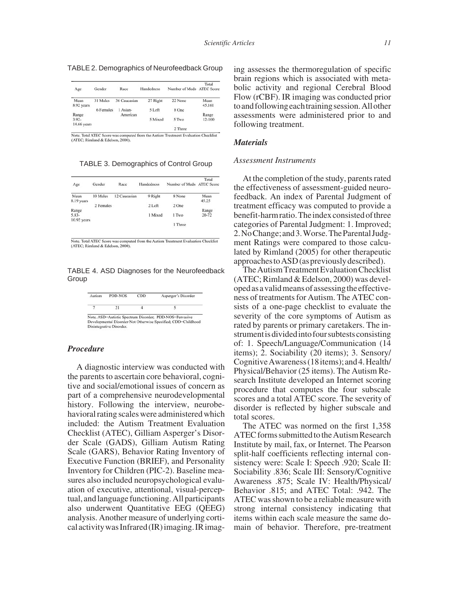TABLE 2. Demographics of Neurofeedback Group

| Age                | Gender    | Race         | Handedness | Number of Meds ATEC Score | Total          |
|--------------------|-----------|--------------|------------|---------------------------|----------------|
| Mean<br>8.92 years | 31 Males  | 36 Caucasian | 27 Right   | 22 None                   | Mean<br>45.161 |
|                    | 6 Females | 1 Asian-     | 5 Left     | 8 One                     |                |
| Range              |           | American     |            |                           | Range          |
| $3.92-$            |           |              | 5 Mixed    | 5 Two                     | 12-100         |
| 14.66 years        |           |              |            |                           |                |
|                    |           |              |            | 2 Three                   |                |

Note, Total ATEC Score was computed from the Autism Treatment Evaluation Checklist (ATEC; Rimland & Edelson, 2000).

TABLE 3. Demographics of Control Group

| Age         | Gender    | Race         | Handedness | Number of Meds ATEC Score | Total |
|-------------|-----------|--------------|------------|---------------------------|-------|
| Mean        | 10 Males  | 12 Caucasian | 9 Right    | 8 None                    | Mean  |
| 8.19 years  |           |              |            |                           | 45.25 |
|             | 2 Females |              | 2 Left     | 2 One                     |       |
| Range       |           |              |            |                           | Range |
| 5.83-       |           |              | 1 Mixed    | 1 Two                     | 20-72 |
| 10.92 years |           |              |            |                           |       |
|             |           |              |            | 1 Three                   |       |

Note. Total ATEC Score was computed from the Autism Treatment Evaluation Checklist (ATEC; Rimland & Edelson, 2000)

TABLE 4. ASD Diagnoses for the Neurofeedback Group

| Autism | <b>PDD-NOS</b>           | CDD | Asperger's Disorder                                           |
|--------|--------------------------|-----|---------------------------------------------------------------|
|        | 21                       |     |                                                               |
|        |                          |     | Note. ASD=Autistic Spectrum Disorder; PDD-NOS=Pervasive       |
|        |                          |     | Developmental Disorder-Not Otherwise Specified: CDD=Childhood |
|        | Disintegrative Disorder. |     |                                                               |

# *Procedure*

A diagnostic interview was conducted with the parents to ascertain core behavioral, cognitive and social/emotional issues of concern as part of a comprehensive neurodevelopmental history. Following the interview, neurobehavioral rating scales were administered which included: the Autism Treatment Evaluation Checklist (ATEC), Gilliam Asperger's Disorder Scale (GADS), Gilliam Autism Rating Scale (GARS), Behavior Rating Inventory of Executive Function (BRIEF), and Personality Inventory for Children (PIC-2). Baseline measures also included neuropsychological evaluation of executive, attentional, visual-perceptual, and language functioning. All participants also underwent Quantitative EEG (QEEG) analysis. Another measure of underlying corticalactivitywasInfrared(IR)imaging.IRimag-

ing assesses the thermoregulation of specific brain regions which is associated with metabolic activity and regional Cerebral Blood Flow (rCBF). IR imaging was conducted prior to and following each training session. All other assessments were administered prior to and following treatment.

#### *Materials*

## *Assessment Instruments*

At the completion of the study, parents rated the effectiveness of assessment-guided neurofeedback. An index of Parental Judgment of treatment efficacy was computed to provide a benefit-harmratio. The index consisted of three categories of Parental Judgment: 1. Improved; 2.NoChange;and3.Worse.TheParentalJudgment Ratings were compared to those calculated by Rimland (2005) for other therapeutic approaches to ASD (as previously described).

TheAutism TreatmentEvaluationChecklist (ATEC; Rimland & Edelson, 2000) was developedasavalidmeansofassessingtheeffectiveness of treatments for Autism. The ATEC consists of a one-page checklist to evaluate the severity of the core symptoms of Autism as rated by parents or primary caretakers. The instrumentisdividedintofoursubtestsconsisting of: 1. Speech/Language/Communication (14 items); 2. Sociability (20 items); 3. Sensory/ CognitiveAwareness(18items);and4.Health/ Physical/Behavior (25 items). The Autism Research Institute developed an Internet scoring procedure that computes the four subscale scores and a total ATEC score. The severity of disorder is reflected by higher subscale and total scores.

The ATEC was normed on the first 1,358 ATEC forms submitted to the Autism Research Institute by mail, fax, or Internet. The Pearson split-half coefficients reflecting internal consistency were: Scale I: Speech .920; Scale II: Sociability .836; Scale III: Sensory/Cognitive Awareness .875; Scale IV: Health/Physical/ Behavior .815; and ATEC Total: .942. The ATEC was shown to be a reliable measure with strong internal consistency indicating that items within each scale measure the same domain of behavior. Therefore, pre-treatment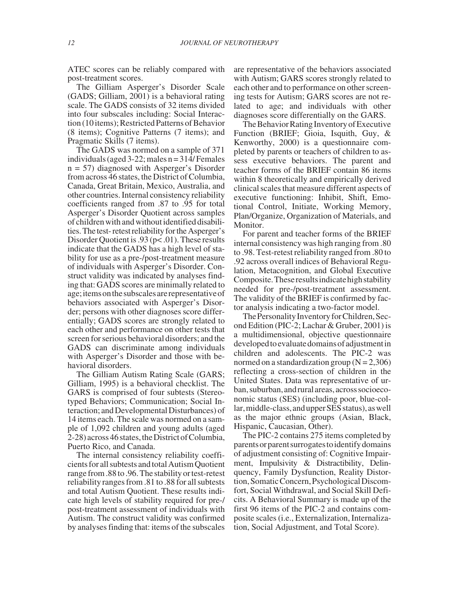ATEC scores can be reliably compared with post-treatment scores.

The Gilliam Asperger's Disorder Scale (GADS; Gilliam, 2001) is a behavioral rating scale. The GADS consists of 32 items divided into four subscales including: Social Interaction (10 items); Restricted Patterns of Behavior (8 items); Cognitive Patterns (7 items); and Pragmatic Skills (7 items).

The GADS was normed on a sample of 371 individuals (aged  $3-22$ ; males  $n = 314$ / Females n = 57) diagnosed with Asperger's Disorder from across 46 states, the District of Columbia, Canada, Great Britain, Mexico, Australia, and other countries. Internal consistency reliability coefficients ranged from .87 to .95 for total Asperger's Disorder Quotient across samples of children with and without identified disabilities. The test- retest reliability for the Asperger's Disorder Quotient is .93 (p< .01). These results indicate that the GADS has a high level of stability for use as a pre-/post-treatment measure of individuals with Asperger's Disorder. Construct validity was indicated by analyses finding that: GADS scores are minimally related to age;itemsonthesubscalesarerepresentativeof behaviors associated with Asperger's Disorder; persons with other diagnoses score differentially; GADS scores are strongly related to each other and performance on other tests that screen for serious behavioral disorders; and the GADS can discriminate among individuals with Asperger's Disorder and those with behavioral disorders.

The Gilliam Autism Rating Scale (GARS; Gilliam, 1995) is a behavioral checklist. The GARS is comprised of four subtests (Stereotyped Behaviors; Communication; Social Interaction; and Developmental Disturbances) of 14 items each. The scale was normed on a sample of 1,092 children and young adults (aged 2-28) across 46 states, the District of Columbia, Puerto Rico, and Canada.

The internal consistency reliability coefficients for all subtests and total Autism Quotient range from .88 to .96. The stability or test-retest reliability ranges from .81 to .88 for all subtests and total Autism Quotient. These results indicate high levels of stability required for pre-/ post-treatment assessment of individuals with Autism. The construct validity was confirmed by analyses finding that: items of the subscales

are representative of the behaviors associated with Autism; GARS scores strongly related to each other and to performance on other screening tests for Autism; GARS scores are not related to age; and individuals with other diagnoses score differentially on the GARS.

The Behavior Rating Inventory of Executive Function (BRIEF; Gioia, Isquith, Guy, & Kenworthy, 2000) is a questionnaire completed by parents or teachers of children to assess executive behaviors. The parent and teacher forms of the BRIEF contain 86 items within 8 theoretically and empirically derived clinical scales that measure different aspects of executive functioning: Inhibit, Shift, Emotional Control, Initiate, Working Memory, Plan/Organize, Organization of Materials, and Monitor.

For parent and teacher forms of the BRIEF internal consistency was high ranging from .80 to .98. Test-retest reliability ranged from .80 to .92 across overall indices of Behavioral Regulation, Metacognition, and Global Executive Composite. These results indicate high stability needed for pre-/post-treatment assessment. The validity of the BRIEF is confirmed by factor analysis indicating a two-factor model.

The Personality Inventory for Children, Second Edition (PIC-2; Lachar & Gruber, 2001) is a multidimensional, objective questionnaire developedtoevaluatedomainsofadjustmentin children and adolescents. The PIC-2 was normed on a standardization group  $(N = 2,306)$ reflecting a cross-section of children in the United States. Data was representative of urban, suburban, and rural areas, across socioeconomic status (SES) (including poor, blue-collar, middle-class, and upper SES status), as well as the major ethnic groups (Asian, Black, Hispanic, Caucasian, Other).

The PIC-2 contains 275 items completed by parentsorparentsurrogatestoidentifydomains of adjustment consisting of: Cognitive Impairment, Impulsivity & Distractibility, Delinquency, Family Dysfunction, Reality Distortion,SomaticConcern,PsychologicalDiscomfort, Social Withdrawal, and Social Skill Deficits. A Behavioral Summary is made up of the first 96 items of the PIC-2 and contains composite scales (i.e., Externalization, Internalization, Social Adjustment, and Total Score).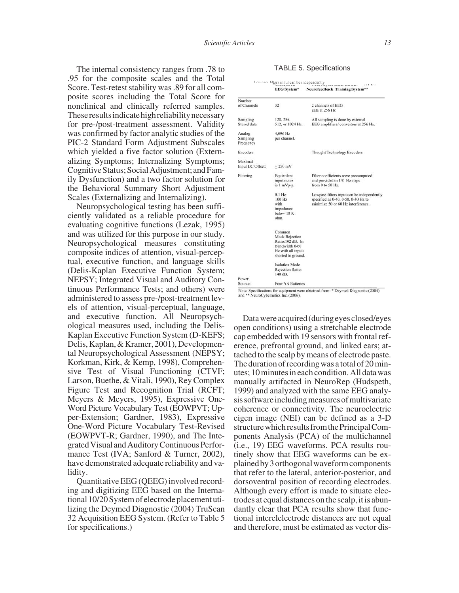The internal consistency ranges from .78 to .95 for the composite scales and the Total Score. Test-retest stability was .89 for all composite scores including the Total Score for nonclinical and clinically referred samples. Theseresultsindicatehighreliabilitynecessary for pre-/post-treatment assessment. Validity was confirmed by factor analytic studies of the PIC-2 Standard Form Adjustment Subscales which yielded a five factor solution (Externalizing Symptoms; Internalizing Symptoms; Cognitive Status; Social Adjustment; and Family Dysfunction) and a two factor solution for the Behavioral Summary Short Adjustment Scales (Externalizing and Internalizing).

Neuropsychological testing has been sufficiently validated as a reliable procedure for evaluating cognitive functions (Lezak, 1995) and was utilized for this purpose in our study. Neuropsychological measures constituting composite indices of attention, visual-perceptual, executive function, and language skills (Delis-Kaplan Executive Function System; NEPSY; Integrated Visual and Auditory Continuous Performance Tests; and others) were administered to assess pre-/post-treatment levels of attention, visual-perceptual, language, and executive function. All Neuropsychological measures used, including the Delis-Kaplan Executive Function System (D-KEFS; Delis, Kaplan, & Kramer, 2001), Developmental Neuropsychological Assessment (NEPSY; Korkman, Kirk, & Kemp, 1998), Comprehensive Test of Visual Functioning (CTVF; Larson, Buethe, & Vitali, 1990), Rey Complex Figure Test and Recognition Trial (RCFT; Meyers & Meyers, 1995), Expressive One-Word Picture Vocabulary Test (EOWPVT; Upper-Extension; Gardner, 1983), Expressive One-Word Picture Vocabulary Test-Revised (EOWPVT-R; Gardner, 1990), and The Integrated Visual and Auditory Continuous Performance Test (IVA; Sanford & Turner, 2002), have demonstrated adequate reliability and validity.

Quantitative EEG (QEEG) involved recording and digitizing EEG based on the International 10/20 System of electrodeplacementutilizing the Deymed Diagnostic (2004) TruScan 32 Acquisition EEG System. (Refer to Table 5 for specifications.)

| <b>TABLE 5. Specifications</b> |  |  |  |  |
|--------------------------------|--|--|--|--|
|--------------------------------|--|--|--|--|

|                                 |                                                                                                            | $0.1 \, \text{Hz}$<br>Neurofeedback Training System**                                                                   |  |  |
|---------------------------------|------------------------------------------------------------------------------------------------------------|-------------------------------------------------------------------------------------------------------------------------|--|--|
|                                 | <b>EEG</b> System*                                                                                         |                                                                                                                         |  |  |
| Number                          |                                                                                                            |                                                                                                                         |  |  |
| of Channels                     | 32                                                                                                         | 2 channels of EEG<br>data at 256 Hz                                                                                     |  |  |
| Sampling<br>Stored data         | 128, 256,<br>512, or 1024 Hz.                                                                              | All sampling is done by external<br>EEG amplifiers/converters at 256 Hz.                                                |  |  |
| Analog<br>Sampling<br>Frequency | 4,096 Hz<br>per channel.                                                                                   |                                                                                                                         |  |  |
| Encoders                        |                                                                                                            | Thought Technology Encoders                                                                                             |  |  |
| Maximal<br>Input DC Offset:     | $+250$ mV                                                                                                  |                                                                                                                         |  |  |
| Filtering                       | Equivalent<br>input noise<br>is 1 mVp-p.                                                                   | Filter coefficients were precomputed<br>and provided in 1/8 Hz steps<br>from 0 to 50 Hz.                                |  |  |
|                                 | $0.1$ Hz-<br>100 Hz<br>with<br>impedance<br>below 10 K<br>ohm.                                             | Lowpass filters input can be independently<br>specified as 0-40, 0-50, 0-30 Hz to<br>minimize 50 or 60 Hz interference. |  |  |
|                                 | Common<br>Mode Rejection<br>Ratio:102 dB. In<br>Bandwidth 0-60<br>Hz with all inputs<br>shorted to ground. |                                                                                                                         |  |  |
| Power                           | <b>Isolation Mode</b><br><b>Rejection Ratio:</b><br>140 dB.                                                |                                                                                                                         |  |  |
| Source:                         | Four AA Batteries                                                                                          |                                                                                                                         |  |  |

Note. Specifications for equipment were obtained from: \* Deymed Diagnostic (2004) and \*\* NeuroCybernetics Inc. (2006).

Data were acquired (during eyes closed/eyes open conditions) using a stretchable electrode cap embedded with 19 sensors with frontal reference, prefrontal ground, and linked ears; attached to the scalp by means of electrode paste. The duration of recording was a total of 20 minutes; 10 minutes in each condition. All data was manually artifacted in NeuroRep (Hudspeth, 1999) and analyzed with the same EEG analysis software including measures of multivariate coherence or connectivity. The neuroelectric eigen image (NEI) can be defined as a 3-D structure which results from the Principal Components Analysis (PCA) of the multichannel (i.e., 19) EEG waveforms. PCA results routinely show that EEG waveforms can be explainedby3orthogonalwaveformcomponents that refer to the lateral, anterior-posterior, and dorsoventral position of recording electrodes. Although every effort is made to situate electrodes at equal distances on the scalp, it is abundantly clear that PCA results show that functional interelelectrode distances are not equal and therefore, must be estimated as vector dis-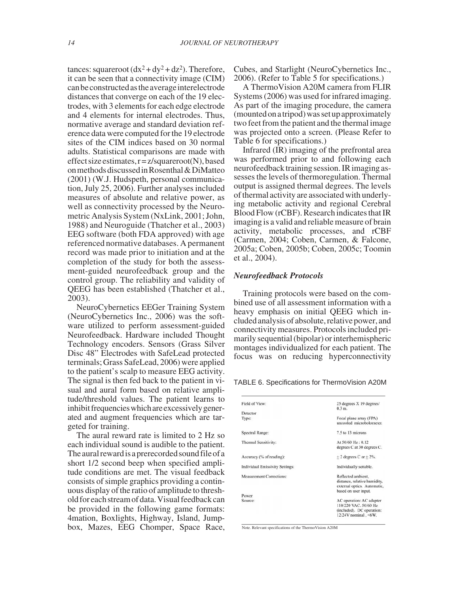tances: squareroot  $(dx^2 + dy^2 + dz^2)$ . Therefore, it can be seen that a connectivity image (CIM) canbeconstructedastheaverageinterelectrode distances that converge on each of the 19 electrodes, with 3 elements for each edge electrode and 4 elements for internal electrodes. Thus, normative average and standard deviation reference data were computed for the 19 electrode sites of the CIM indices based on 30 normal adults. Statistical comparisons are made with effect size estimates,  $r = z/squareroot(N)$ , based onmethodsdiscussedinRosenthal&DiMatteo (2001) (W.J. Hudspeth, personal communication, July 25, 2006). Further analyses included measures of absolute and relative power, as well as connectivity processed by the Neurometric Analysis System (NxLink, 2001; John, 1988) and Neuroguide (Thatcher et al., 2003) EEG software (both FDA approved) with age referenced normative databases. A permanent record was made prior to initiation and at the completion of the study for both the assessment-guided neurofeedback group and the control group. The reliability and validity of QEEG has been established (Thatcher et al., 2003).

NeuroCybernetics EEGer Training System (NeuroCybernetics Inc., 2006) was the software utilized to perform assessment-guided Neurofeedback. Hardware included Thought Technology encoders. Sensors (Grass Silver Disc 48" Electrodes with SafeLead protected terminals; Grass SafeLead, 2006) were applied to the patient's scalp to measure EEG activity. The signal is then fed back to the patient in visual and aural form based on relative amplitude/threshold values. The patient learns to inhibit frequencies which are excessively generated and augment frequencies which are targeted for training.

The aural reward rate is limited to 2 Hz so each individual sound is audible to the patient. The aural reward is a prerecorded sound file of a short 1/2 second beep when specified amplitude conditions are met. The visual feedback consists of simple graphics providing a continuous display of the ratio of amplitude to thresholdforeachstreamofdata.Visualfeedbackcan be provided in the following game formats: 4mation, Boxlights, Highway, Island, Jumpbox, Mazes, EEG Chomper, Space Race,

Cubes, and Starlight (NeuroCybernetics Inc., 2006). (Refer to Table 5 for specifications.)

A ThermoVision A20M camera from FLIR Systems (2006) was used for infrared imaging. As part of the imaging procedure, the camera (mountedonatripod)wassetupapproximately two feet from the patient and the thermal image was projected onto a screen. (Please Refer to Table 6 for specifications.)

Infrared (IR) imaging of the prefrontal area was performed prior to and following each neurofeedback training session. IR imaging assesses the levels of thermoregulation. Thermal output is assigned thermal degrees. The levels of thermal activity are associated with underlying metabolic activity and regional Cerebral Blood Flow (rCBF). Research indicates that IR imaging is a valid and reliable measure of brain activity, metabolic processes, and rCBF (Carmen, 2004; Coben, Carmen, & Falcone, 2005a; Coben, 2005b; Coben, 2005c; Toomin et al., 2004).

# *Neurofeedback Protocols*

Training protocols were based on the combined use of all assessment information with a heavy emphasis on initial QEEG which included analysis of absolute, relativepower, and connectivity measures. Protocols included primarily sequential (bipolar) or interhemispheric montages individualized for each patient. The focus was on reducing hyperconnectivity

TABLE 6. Specifications for ThermoVision A20M

| Field of View:                         | 25 degrees X 19 degrees/<br>0.3 m                                                                         |
|----------------------------------------|-----------------------------------------------------------------------------------------------------------|
| Detector                               |                                                                                                           |
| Type:                                  | Focal plane array (FPA)<br>uncooled microbolometer.                                                       |
| <b>Spectral Range:</b>                 | 7.5 to 13 microns                                                                                         |
| Thermal Sensitivity:                   | At 50/60 Hz: 0.12<br>degrees C at 30 degrees C.                                                           |
| Accuracy (% of reading):               | $+2$ degrees C or $+2\%$ .                                                                                |
| <b>Individual Emissivity Settings:</b> | Individually settable.                                                                                    |
| <b>Measurement Corrections:</b>        | Reflected ambient,<br>distance, relative humidity,<br>external optics. Automatic,<br>based on user input. |
| Power                                  |                                                                                                           |
| Source:                                | AC operation: AC adapter<br>110/220 VAC, 50/60 Hz<br>(included). DC operation:<br>12/24V nominal, <6W.    |

Note. Relevant specifications of the ThermoVision A20M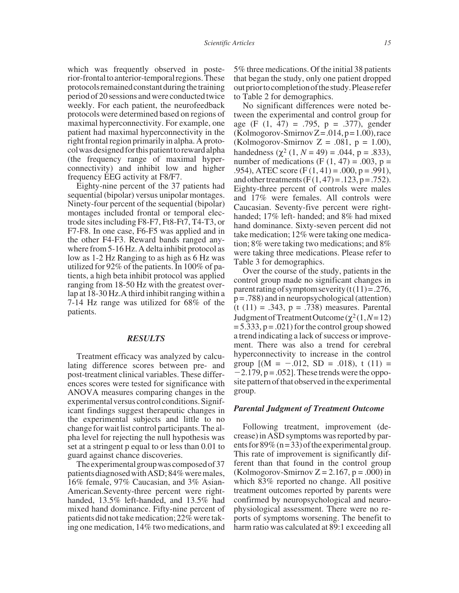which was frequently observed in posterior-frontaltoanterior-temporalregions.These protocols remained constant during the training period of 20 sessions and were conducted twice weekly. For each patient, the neurofeedback protocols were determined based on regions of maximal hyperconnectivity. For example, one patient had maximal hyperconnectivity in the right frontal region primarily in alpha. A protocolwasdesignedforthispatienttorewardalpha (the frequency range of maximal hyperconnectivity) and inhibit low and higher frequency EEG activity at F8/F7.

Eighty-nine percent of the 37 patients had sequential (bipolar) versus unipolar montages. Ninety-four percent of the sequential (bipolar) montages included frontal or temporal electrode sites including F8-F7, Ft8-Ft7, T4-T3, or F7-F8. In one case, F6-F5 was applied and in the other F4-F3. Reward bands ranged anywhere from 5-16 Hz. A delta inhibit protocol as low as 1-2 Hz Ranging to as high as 6 Hz was utilized for 92% of the patients. In 100% of patients, a high beta inhibit protocol was applied ranging from 18-50 Hz with the greatest overlap at 18-30 Hz.A third inhibit ranging within a 7-14 Hz range was utilized for 68% of the patients.

## *RESULTS*

Treatment efficacy was analyzed by calculating difference scores between pre- and post-treatment clinical variables. These differences scores were tested for significance with ANOVA measures comparing changes in the experimental versus control conditions. Significant findings suggest therapeutic changes in the experimental subjects and little to no change for wait list control participants. The alpha level for rejecting the null hypothesis was set at a stringent p equal to or less than 0.01 to guard against chance discoveries.

The experimental group was composed of 37 patients diagnosed with ASD; 84% were males, 16% female, 97% Caucasian, and 3% Asian-American.Seventy-three percent were righthanded, 13.5% left-handed, and 13.5% had mixed hand dominance. Fifty-nine percent of patients did not take medication; 22% were taking one medication, 14% two medications, and 5% three medications. Of the initial 38 patients that began the study, only one patient dropped out prior to completion of the study. Please refer to Table 2 for demographics.

No significant differences were noted between the experimental and control group for age  $(F (1, 47) = .795, p = .377)$ , gender  $(Kolmogorov-SmirnovZ = .014, p=1.00)$ , race (Kolmogorov-Smirnov  $Z = .081$ ,  $p = 1.00$ ), handedness ( $χ²$  (1, *N* = 49) = .044, p = .833), number of medications (F  $(1, 47) = .003$ , p = .954), ATEC score  $(F(1, 41) = .000, p = .991)$ , and other treatments (F(1,47) = .123, p = .752). Eighty-three percent of controls were males and 17% were females. All controls were Caucasian. Seventy-five percent were righthanded; 17% left- handed; and 8% had mixed hand dominance. Sixty-seven percent did not take medication; 12% were taking one medication; 8% were taking two medications; and 8% were taking three medications. Please refer to Table 3 for demographics.

Over the course of the study, patients in the control group made no significant changes in parent rating of symptom severity  $(t(11)=.276$ ,  $p = .788$ ) and in neuropsychological (attention) (t (11) = .343, p = .738) measures. Parental Judgment of Treatment Outcome ( $χ²(1, N=12)$ )  $= 5.333$ ,  $p = .021$ ) for the control group showed a trend indicating a lack of success or improvement. There was also a trend for cerebral hyperconnectivity to increase in the control group  $[(M = -.012, SD = .018), t (11) =$  $-2.179$ ,  $p = .052$ . These trends were the opposite pattern of that observed in the experimental group.

#### *Parental Judgment of Treatment Outcome*

Following treatment, improvement (decrease) in ASD symptoms was reported by parents for  $89\%$  (n = 33) of the experimental group. This rate of improvement is significantly different than that found in the control group (Kolmogorov-Smirnov  $Z = 2.167$ ,  $p = .000$ ) in which 83% reported no change. All positive treatment outcomes reported by parents were confirmed by neuropsychological and neurophysiological assessment. There were no reports of symptoms worsening. The benefit to harm ratio was calculated at 89:1 exceeding all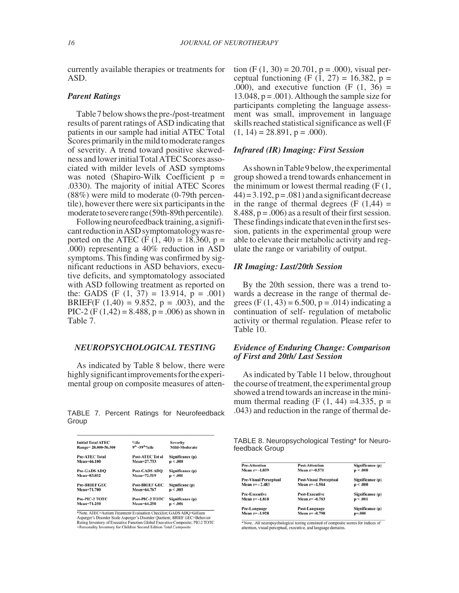currently available therapies or treatments for ASD.

#### *Parent Ratings*

Table 7 below shows the pre-/post-treatment results of parent ratings of ASD indicating that patients in our sample had initial ATEC Total Scores primarily in the mild to moderate ranges of severity. A trend toward positive skewedness and lower initial Total ATEC Scores associated with milder levels of ASD symptoms was noted (Shapiro-Wilk Coefficient p = .0330). The majority of initial ATEC Scores (88%) were mild to moderate (0-79th percentile), however there were six participants in the moderate to severe range (59th-89th percentile).

Following neurofeedback training, a significantreductioninASDsymptomatologywasreported on the ATEC (F  $(1, 40) = 18.360$ , p = .000) representing a 40% reduction in ASD symptoms. This finding was confirmed by significant reductions in ASD behaviors, executive deficits, and symptomatology associated with ASD following treatment as reported on the: GADS (F  $(1, 37) = 13.914$ , p = .001) BRIEF(F  $(1,40) = 9.852$ , p = .003), and the PIC-2 (F (1,42) = 8.488, p = .006) as shown in Table 7.

# *NEUROPSYCHOLOGICAL TESTING*

As indicated by Table 8 below, there were highly significant improvements for the experimental group on composite measures of atten-

TABLE 7. Percent Ratings for Neurofeedback Group

| %ile                                      | <b>Severity</b>  |
|-------------------------------------------|------------------|
| 9 <sup>th</sup> -39 <sup>th o</sup> /oile | Mild-Moderate    |
| <b>Post-ATEC Tot al</b>                   | Significance (p) |
| Mean=27.733                               | p < .000         |
| <b>Post-GADS ADO</b>                      | Significance (p) |
| Mean=72.519                               | p < .001         |
| <b>Post-BRIEF GEC</b>                     | Significanc (p)  |
| Mean=64.767                               | p < .003         |
| Post-PIC-2 TOTC                           | Significance (p) |
| Mean=64.250                               | p < .006         |
|                                           |                  |

\*Note. ATEC=Autism Treatment Evaluation Checklist; GADS ADO=Gilliam Asperger's Disorder Scale Asperger's Disorder Quotient; BRIEF GEC=Behavior<br>Rating Inventory of Executive Function Global Executive Composite; PIC-2 TOTC =Personality Inventory for Children Second Edition Total Composite

tion  $(F (1, 30) = 20.701, p = .000)$ , visual perceptual functioning (F  $(1, 27) = 16.382$ ,  $p =$ .000), and executive function  $(F (1, 36))$ 13.048,  $p = .001$ ). Although the sample size for participants completing the language assessment was small, improvement in language skills reached statistical significance as well (F  $(1, 14) = 28.891$ , p = .000).

## *Infrared (IR) Imaging: First Session*

AsshowninTable9below,theexperimental group showed a trend towards enhancement in the minimum or lowest thermal reading  $(F(1,$  $(44) = 3.192$ ,  $p = .081$ ) and a significant decrease in the range of thermal degrees  $(F (1, 44) =$ 8.488,  $p = .006$  as a result of their first session. These findings indicate that even in the first session, patients in the experimental group were able to elevate their metabolic activity and regulate the range or variability of output.

# *IR Imaging: Last/20th Session*

By the 20th session, there was a trend towards a decrease in the range of thermal degrees (F  $(1, 43) = 6.500$ , p = .014) indicating a continuation of self- regulation of metabolic activity or thermal regulation. Please refer to Table 10.

# *Evidence of Enduring Change: Comparison of First and 20th/ Last Session*

As indicated by Table 11 below, throughout the course of treatment, the experimental group showed a trend towards an increase in the minimum thermal reading (F  $(1, 44) = 4.335$ , p = .043) and reduction in the range of thermal de-

TABLE 8. Neuropsychological Testing\* for Neurofeedback Group

| <b>Pre-Attention</b>         | <b>Post-Attention</b>         | Significance (p) |
|------------------------------|-------------------------------|------------------|
| Mean $z = -1.859$            | Mean $z=0.571$                | p < .000         |
| <b>Pre-Visual Perceptual</b> | <b>Post-Visual Perceptual</b> | Significance (p) |
| Mean $z = -2.483$            | Mean $z = -1.584$             | p < .000         |
| <b>Pre-Executive</b>         | <b>Post-Executive</b>         | Significance (p) |
| Mean $z = -1.818$            | Mean $z = -0.783$             | p < .001         |
| Pre-Language                 | Post-Language                 | Significance (p) |
| Mean $z = -1.928$            | Mean $z = -0.798$             | $p = 000$        |

 $*$  Note. All neuropsychological testing consisted of composite scores for indices of attention, visual perceptual, executive, and language domains.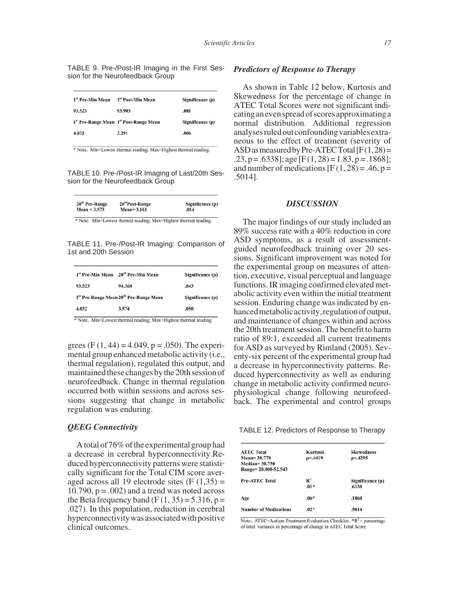|  |  | TABLE 9. Pre-/Post-IR Imaging in the First Ses- |  |  |
|--|--|-------------------------------------------------|--|--|
|  |  | sion for the Neurofeedback Group                |  |  |
|  |  |                                                 |  |  |

| 1st Pre-Min Mean | 1st Post-Min Mean                      | Significance (p) |
|------------------|----------------------------------------|------------------|
| 93.523           | 93.903                                 | .081             |
|                  | 1st Pre-Range Mean 1st Post-Range Mean | Significance (p) |
| 4.032            | 3.291                                  | .006             |

\* Note. Min=Lowest thermal reading; Max=Highest thermal reading.

TABLE 10. Pre-/Post-IR Imaging of Last/20th Session for the Neurofeedback Group

| 20 <sup>th</sup> Post-Range | Significance (p) |
|-----------------------------|------------------|
| $Mean = 3.161$              | .014             |
|                             |                  |

\* Note. Min=Lowest thermal reading; Max=Highest thermal reading.

TABLE 11. Pre-/Post-IR Imaging: Comparison of 1st and 20th Session

| <sup>1st</sup> Pre-Min Mean            | 20 <sup>th</sup> Pre-Min Mean | Significance (p) |
|----------------------------------------|-------------------------------|------------------|
| 93.523                                 | 94.368                        | .043             |
| 1st Pre-Range Mean 20th Pre-Range Mean |                               | Significance (p) |
| 4.032                                  | 3.574                         | .050             |

\* Note. Min=Lowest thermal reading; Max=Highest thermal reading.

grees (F $(1, 44) = 4.049$ , p = .050). The experimental group enhanced metabolic activity (i.e., thermal regulation), regulated this output, and maintained these changes by the 20th session of neurofeedback. Change in thermal regulation occurred both within sessions and across sessions suggesting that change in metabolic regulation was enduring.

## *QEEG Connectivity*

A total of 76% of the experimental group had a decrease in cerebral hyperconnectivity.Reduced hyperconnectivity patterns were statistically significant for the Total CIM score averaged across all 19 electrode sites  $(F(1,35)) =$ 10.790,  $p = .002$ ) and a trend was noted across the Beta frequency band  $(F(1, 35) = 5.316, p =$ .027). In this population, reduction in cerebral hyperconnectivity was associated with positive clinical outcomes.

## *Predictors of Response to Therapy*

As shown in Table 12 below, Kurtosis and Skewedness for the percentage of change in ATEC Total Scores were not significant indicatinganevenspreadofscoresapproximatinga normal distribution. Additional regression analyses ruled out confounding variables extraneous to the effect of treatment (severity of ASD as measured by Pre-ATEC Total  $[F(1,28)$  =  $.23, p = .6338$ ]; age [F(1,28) = 1.83, p = .1868]; and number of medications  $[F(1, 28) = .46, p =$ .5014].

## *DISCUSSION*

The major findings of our study included an 89% success rate with a 40% reduction in core ASD symptoms, as a result of assessmentguided neurofeedback training over 20 sessions. Significant improvement was noted for the experimental group on measures of attention, executive, visual perceptual and language functions. IR imaging confirmed elevated metabolic activity even within the initial treatment session. Enduring change was indicated by enhanced metabolic activity, regulation of output, and maintenance of changes within and across the 20th treatment session. The benefit to harm ratio of 89:1, exceeded all current treatments for ASD as surveyed by Rimland (2005). Seventy-six percent of the experimental group had a decrease in hyperconnectivity patterns. Reduced hyperconnectivity as well as enduring change in metabolic activity confirmed neurophysiological change following neurofeedback. The experimental and control groups

TABLE 12. Predictors of Response to Therapy

| <b>ATEC Total</b>            | <b>Kurtosis</b> | <b>Skewedness</b> |
|------------------------------|-----------------|-------------------|
| $Mean = 38.770$              | $p = 4419$      | $p = 4295$        |
| $Median = 38,750$            |                 |                   |
| Range= 20.000-52.543         |                 |                   |
| <b>Pre-ATEC Total</b>        | $\mathbb{R}^2$  | Significance (p)  |
|                              | $.01*$          | .6338             |
| Age                          | $.06*$          | .1868             |
| <b>Number of Medications</b> | $.02*$          | .5014             |

Note.. ATEC=Autism Treatment Evaluation Checklist. \*R<sup>2</sup>= percentage of total variance in percentage of change in ATEC Total Score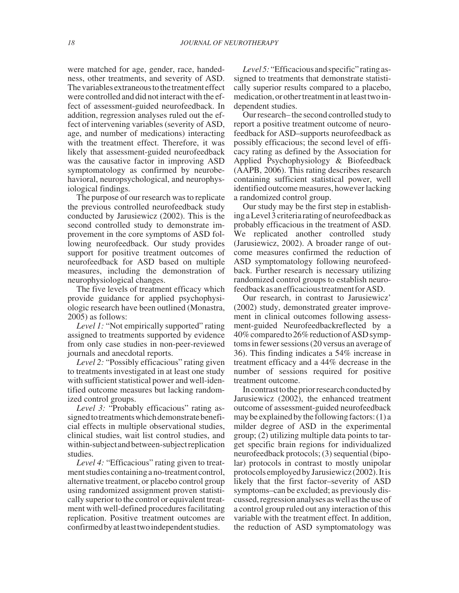were matched for age, gender, race, handedness, other treatments, and severity of ASD. The variables extraneous to the treatment effect were controlled and did not interact with the effect of assessment-guided neurofeedback. In addition, regression analyses ruled out the effect of intervening variables (severity of ASD, age, and number of medications) interacting with the treatment effect. Therefore, it was likely that assessment-guided neurofeedback was the causative factor in improving ASD symptomatology as confirmed by neurobehavioral, neuropsychological, and neurophysiological findings.

The purpose of our research was to replicate the previous controlled neurofeedback study conducted by Jarusiewicz (2002). This is the second controlled study to demonstrate improvement in the core symptoms of ASD following neurofeedback. Our study provides support for positive treatment outcomes of neurofeedback for ASD based on multiple measures, including the demonstration of neurophysiological changes.

The five levels of treatment efficacy which provide guidance for applied psychophysiologic research have been outlined (Monastra, 2005) as follows:

*Level 1:* "Not empirically supported" rating assigned to treatments supported by evidence from only case studies in non-peer-reviewed journals and anecdotal reports.

*Level 2:* "Possibly efficacious" rating given to treatments investigated in at least one study with sufficient statistical power and well-identified outcome measures but lacking randomized control groups.

*Level 3:* "Probably efficacious" rating assigned to treatments which demonstrate beneficial effects in multiple observational studies, clinical studies, wait list control studies, and within-subject and between-subject replication studies.

*Level 4:* "Efficacious" rating given to treatment studies containing a no-treatment control, alternative treatment, or placebo control group using randomized assignment proven statistically superior to the control or equivalent treatment with well-defined procedures facilitating replication. Positive treatment outcomes are confirmedbyatleasttwoindependentstudies.

*Level 5:* "Efficacious and specific" rating assigned to treatments that demonstrate statistically superior results compared to a placebo, medication,orothertreatmentinatleasttwoindependent studies.

Our research– the second controlled study to report a positive treatment outcome of neurofeedback for ASD–supports neurofeedback as possibly efficacious; the second level of efficacy rating as defined by the Association for Applied Psychophysiology & Biofeedback (AAPB, 2006). This rating describes research containing sufficient statistical power, well identified outcome measures, however lacking a randomized control group.

Our study may be the first step in establishing a Level 3 criteria rating of neurofeedback as probably efficacious in the treatment of ASD. We replicated another controlled study (Jarusiewicz, 2002). A broader range of outcome measures confirmed the reduction of ASD symptomatology following neurofeedback. Further research is necessary utilizing randomized control groups to establish neurofeedbackasanefficacioustreatmentforASD.

Our research, in contrast to Jarusiewicz' (2002) study, demonstrated greater improvement in clinical outcomes following assessment-guided Neurofeedbackreflected by a 40%comparedto26%reductionofASDsymptoms in fewer sessions (20 versus an average of 36). This finding indicates a 54% increase in treatment efficacy and a 44% decrease in the number of sessions required for positive treatment outcome.

In contrast to the prior research conducted by Jarusiewicz (2002), the enhanced treatment outcome of assessment-guided neurofeedback may be explained by the following factors:  $(1)$  a milder degree of ASD in the experimental group; (2) utilizing multiple data points to target specific brain regions for individualized neurofeedback protocols; (3) sequential (bipolar) protocols in contrast to mostly unipolar protocolsemployedbyJarusiewicz(2002).Itis likely that the first factor–severity of ASD symptoms–can be excluded; as previously discussed, regression analyses as well as the use of a control group ruled out any interaction of this variable with the treatment effect. In addition, the reduction of ASD symptomatology was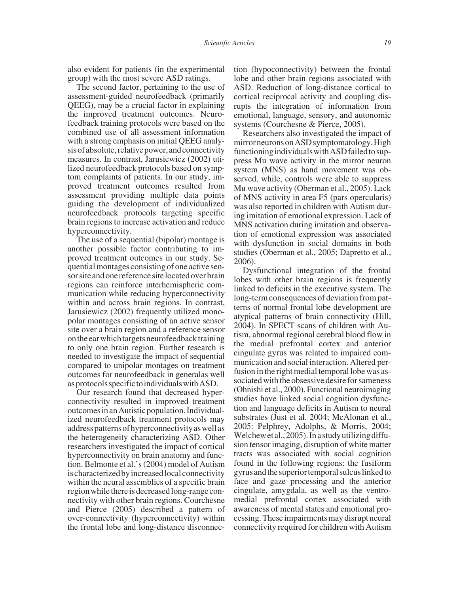also evident for patients (in the experimental group) with the most severe ASD ratings.

The second factor, pertaining to the use of assessment-guided neurofeedback (primarily QEEG), may be a crucial factor in explaining the improved treatment outcomes. Neurofeedback training protocols were based on the combined use of all assessment information with a strong emphasis on initial QEEG analysis of absolute, relative power, and connectivity measures. In contrast, Jarusiewicz (2002) utilized neurofeedback protocols based on symptom complaints of patients. In our study, improved treatment outcomes resulted from assessment providing multiple data points guiding the development of individualized neurofeedback protocols targeting specific brain regions to increase activation and reduce hyperconnectivity.

The use of a sequential (bipolar) montage is another possible factor contributing to improved treatment outcomes in our study. Sequential montages consisting of one active sensor site and one reference site located over brain regions can reinforce interhemispheric communication while reducing hyperconnectivity within and across brain regions. In contrast, Jarusiewicz (2002) frequently utilized monopolar montages consisting of an active sensor site over a brain region and a reference sensor on the ear which targets neurofeedback training to only one brain region. Further research is needed to investigate the impact of sequential compared to unipolar montages on treatment outcomes for neurofeedback in generalas well asprotocolsspecifictoindividualswithASD.

Our research found that decreased hyperconnectivity resulted in improved treatment outcomesinanAutisticpopulation.Individualized neurofeedback treatment protocols may addresspatternsofhyperconnectivityaswellas the heterogeneity characterizing ASD. Other researchers investigated the impact of cortical hyperconnectivity on brain anatomy and function. Belmonte et al.'s (2004) model of Autism is characterized by increased local connectivity within the neural assemblies of a specific brain region while there is decreased long-range connectivity with other brain regions. Courchesne and Pierce (2005) described a pattern of over-connectivity (hyperconnectivity) within the frontal lobe and long-distance disconnection (hypoconnectivity) between the frontal lobe and other brain regions associated with ASD. Reduction of long-distance cortical to cortical reciprocal activity and coupling disrupts the integration of information from emotional, language, sensory, and autonomic systems (Courchesne & Pierce, 2005).

Researchers also investigated the impact of mirror neurons on ASD symptomatology. High functioning individuals with ASD failed to suppress Mu wave activity in the mirror neuron system (MNS) as hand movement was observed, while, controls were able to suppress Mu wave activity (Oberman et al., 2005). Lack of MNS activity in area F5 (pars opercularis) was also reported in children with Autism during imitation of emotional expression. Lack of MNS activation during imitation and observation of emotional expression was associated with dysfunction in social domains in both studies (Oberman et al., 2005; Dapretto et al., 2006).

Dysfunctional integration of the frontal lobes with other brain regions is frequently linked to deficits in the executive system. The long-term consequences of deviation from patterns of normal frontal lobe development are atypical patterns of brain connectivity (Hill, 2004). In SPECT scans of children with Autism, abnormal regional cerebral blood flow in the medial prefrontal cortex and anterior cingulate gyrus was related to impaired communication and social interaction. Altered perfusion in the right medial temporal lobe was associated with the obsessive desire for sameness (Ohnishi et al., 2000). Functional neuroimaging studies have linked social cognition dysfunction and language deficits in Autism to neural substrates (Just et al. 2004; McAlonan et al., 2005: Pelphrey, Adolphs, & Morris, 2004; Welchew et al., 2005). In a study utilizing diffusion tensor imaging, disruption of white matter tracts was associated with social cognition found in the following regions: the fusiform gyrusandthesuperiortemporalsulcuslinkedto face and gaze processing and the anterior cingulate, amygdala, as well as the ventromedial prefrontal cortex associated with awareness of mental states and emotional processing. These impairments may disrupt neural connectivity required for children with Autism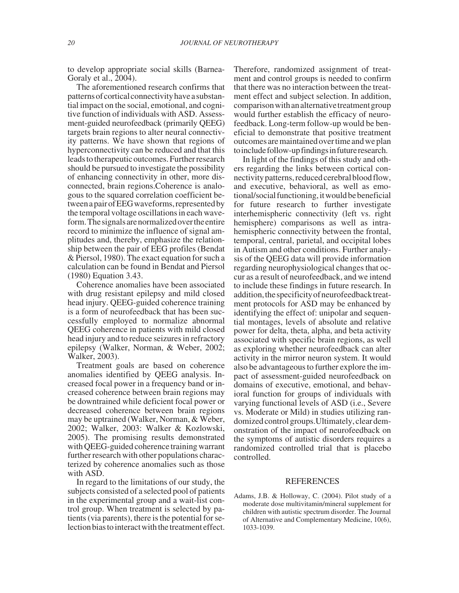to develop appropriate social skills (Barnea-Goraly et al., 2004).

The aforementioned research confirms that patterns of cortical connectivity have a substantial impact on the social, emotional, and cognitive function of individuals with ASD. Assessment-guided neurofeedback (primarily QEEG) targets brain regions to alter neural connectivity patterns. We have shown that regions of hyperconnectivity can be reduced and that this leads to therapeutic outcomes. Further research should be pursued to investigate the possibility of enhancing connectivity in other, more disconnected, brain regions.Coherence is analogous to the squared correlation coefficient between a pair of EEG waveforms, represented by the temporal voltage oscillations in each waveform.Thesignalsarenormalizedovertheentire record to minimize the influence of signal amplitudes and, thereby, emphasize the relationship between the pair of EEG profiles (Bendat & Piersol, 1980). The exact equation for such a calculation can be found in Bendat and Piersol (1980) Equation 3.43.

Coherence anomalies have been associated with drug resistant epilepsy and mild closed head injury. QEEG-guided coherence training is a form of neurofeedback that has been successfully employed to normalize abnormal QEEG coherence in patients with mild closed head injury and to reduce seizures in refractory epilepsy (Walker, Norman, & Weber, 2002; Walker, 2003).

Treatment goals are based on coherence anomalies identified by QEEG analysis. Increased focal power in a frequency band or increased coherence between brain regions may be downtrained while deficient focal power or decreased coherence between brain regions may be uptrained (Walker, Norman, & Weber, 2002; Walker, 2003: Walker & Kozlowski, 2005). The promising results demonstrated with QEEG-guided coherence training warrant further research with other populations characterized by coherence anomalies such as those with ASD.

In regard to the limitations of our study, the subjects consisted of a selected pool of patients in the experimental group and a wait-list control group. When treatment is selected by patients (via parents), there is the potential for selection bias to interact with the treatment effect.

Therefore, randomized assignment of treatment and control groups is needed to confirm that there was no interaction between the treatment effect and subject selection. In addition, comparisonwithanalternativetreatmentgroup would further establish the efficacy of neurofeedback. Long-term follow-up would be beneficial to demonstrate that positive treatment outcomesare maintainedover timeand we plan to include follow-up findings in future research.

In light of the findings of this study and others regarding the links between cortical connectivity patterns, reduced cerebral blood flow, and executive, behavioral, as well as emotional/social functioning, it would be beneficial for future research to further investigate interhemispheric connectivity (left vs. right hemisphere) comparisons as well as intrahemispheric connectivity between the frontal, temporal, central, parietal, and occipital lobes in Autism and other conditions. Further analysis of the QEEG data will provide information regarding neurophysiological changes that occur as a result of neurofeedback, and we intend to include these findings in future research. In addition, the specificity of neurofeedback treatment protocols for ASD may be enhanced by identifying the effect of: unipolar and sequential montages, levels of absolute and relative power for delta, theta, alpha, and beta activity associated with specific brain regions, as well as exploring whether neurofeedback can alter activity in the mirror neuron system. It would also be advantageous to further explore the impact of assessment-guided neurofeedback on domains of executive, emotional, and behavioral function for groups of individuals with varying functional levels of ASD (i.e., Severe vs. Moderate or Mild) in studies utilizing randomized control groups. Ultimately, clear demonstration of the impact of neurofeedback on the symptoms of autistic disorders requires a randomized controlled trial that is placebo controlled.

## REFERENCES

Adams, J.B. & Holloway, C. (2004). Pilot study of a moderate dose multivitamin/mineral supplement for children with autistic spectrum disorder. The Journal of Alternative and Complementary Medicine, 10(6), 1033-1039.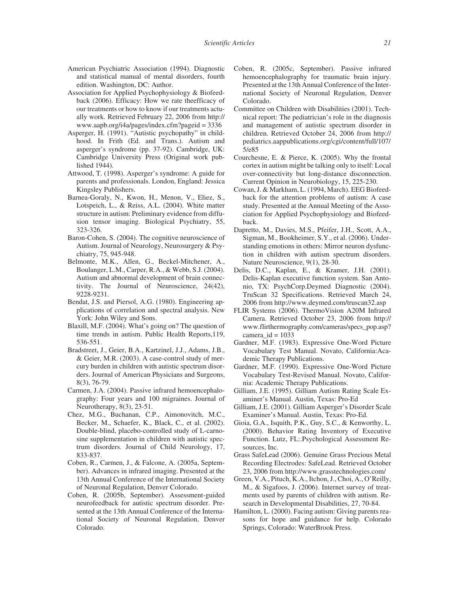- American Psychiatric Association (1994). Diagnostic and statistical manual of mental disorders, fourth edition. Washington, DC: Author.
- Association for Applied Psychophysiology & Biofeedback (2006). Efficacy: How we rate theefficacy of our treatments or how to know if our treatments actually work. Retrieved February 22, 2006 from http:// www.aapb.org/i4a/pages/index.cfm?pageid = 3336
- Asperger, H. (1991). "Autistic psychopathy" in childhood. In Frith (Ed. and Trans.). Autism and asperger's syndrome (pp. 37-92). Cambridge, UK: Cambridge University Press (Original work published 1944).
- Attwood, T. (1998). Asperger's syndrome: A guide for parents and professionals. London, England: Jessica Kingsley Publishers.
- Barnea-Goraly, N., Kwon, H., Menon, V., Eliez, S., Lotspeich, L., & Reiss, A.L. (2004). White matter structure in autism: Preliminary evidence from diffusion tensor imaging. Biological Psychiatry, 55, 323-326.
- Baron-Cohen, S. (2004). The cognitive neuroscience of Autism. Journal of Neurology, Neurosurgery & Psychiatry, 75, 945-948.
- Belmonte, M.K., Allen, G., Beckel-Mitchener, A., Boulanger, L.M., Carper, R.A., & Webb, S.J. (2004). Autism and abnormal development of brain connectivity. The Journal of Neuroscience, 24(42), 9228-9231.
- Bendat, J.S. and Piersol, A.G. (1980). Engineering applications of correlation and spectral analysis. New York: John Wiley and Sons.
- Blaxill, M.F. (2004). What's going on? The question of time trends in autism. Public Health Reports,119, 536-551.
- Bradstreet, J., Geier, B.A., Kartzinel, J.J., Adams, J.B., & Geier, M.R. (2003). A case-control study of mercury burden in children with autistic spectrum disorders. Journal of American Physicians and Surgeons, 8(3), 76-79.
- Carmen, J.A. (2004). Passive infrared hemoencephalography: Four years and 100 migraines. Journal of Neurotherapy, 8(3), 23-51.
- Chez, M.G., Buchanan, C.P., Aimonovitch, M.C., Becker, M., Schaefer, K., Black, C., et al. (2002). Double-blind, placebo-controlled study of L-carnosine supplementation in children with autistic spectrum disorders. Journal of Child Neurology, 17, 833-837.
- Coben, R., Carmen, J., & Falcone, A. (2005a, September). Advances in infrared imaging. Presented at the 13th Annual Conference of the International Society of Neuronal Regulation, Denver Colorado.
- Coben, R. (2005b, September). Assessment-guided neurofeedback for autistic spectrum disorder. Presented at the 13th Annual Conference of the International Society of Neuronal Regulation, Denver Colorado.
- Coben, R. (2005c, September). Passive infrared hemoencephalography for traumatic brain injury. Presented at the 13th Annual Conference of the International Society of Neuronal Regulation, Denver Colorado.
- Committee on Children with Disabilities (2001). Technical report: The pediatrician's role in the diagnosis and management of autistic spectrum disorder in children. Retrieved October 24, 2006 from http:// pediatrics.aappublications.org/cgi/content/full/107/ 5/e85
- Courchesne, E. & Pierce, K. (2005). Why the frontal cortex in autism might be talking only to itself: Local over-connectivity but long-distance disconnection. Current Opinion in Neurobiology, 15, 225-230.
- Cowan, J. & Markham, L. (1994, March). EEG Biofeedback for the attention problems of autism: A case study. Presented at the Annual Meeting of the Association for Applied Psychophysiology and Biofeedback.
- Dapretto, M., Davies, M.S., Pfeifer, J.H., Scott, A.A., Sigman, M., Bookheimer, S.Y., et al. (2006). Understanding emotions in others: Mirror neuron dysfunction in children with autism spectrum disorders. Nature Neuroscience, 9(1), 28-30.
- Delis, D.C., Kaplan, E., & Kramer, J.H. (2001). Delis-Kaplan executive function system. San Antonio, TX: PsychCorp.Deymed Diagnostic (2004). TruScan 32 Specifications. Retrieved March 24, 2006 from http://www.deymed.com/truscan32.asp
- FLIR Systems (2006). ThermoVision A20M Infrared Camera. Retrieved October 23, 2006 from http:// www.flirthermography.com/cameras/specs\_pop.asp? camera\_ $id = 1033$
- Gardner, M.F. (1983). Expressive One-Word Picture Vocabulary Test Manual. Novato, California:Academic Therapy Publications.
- Gardner, M.F. (1990). Expressive One-Word Picture Vocabulary Test-Revised Manual. Novato, California: Academic Therapy Publications.
- Gilliam, J.E. (1995). Gilliam Autism Rating Scale Examiner's Manual. Austin, Texas: Pro-Ed
- Gilliam, J.E. (2001). Gilliam Asperger's Disorder Scale Examiner's Manual. Austin, Texas: Pro-Ed.
- Gioia, G.A., Isquith, P.K., Guy, S.C., & Kenworthy, L. (2000). Behavior Rating Inventory of Executive Function. Lutz, FL:.Psychological Assessment Resources, Inc.
- Grass SafeLead (2006). Genuine Grass Precious Metal Recording Electrodes: SafeLead. Retrieved October 23, 2006 from http://www.grasstechnologies.com/
- Green, V.A., Pituch, K.A., Itchon, J., Choi, A., O'Reilly, M., & Sigafoos, J. (2006). Internet survey of treatments used by parents of children with autism. Research in Developmental Disabilities, 27, 70-84.
- Hamilton, L. (2000). Facing autism: Giving parents reasons for hope and guidance for help. Colorado Springs, Colorado: WaterBrook Press.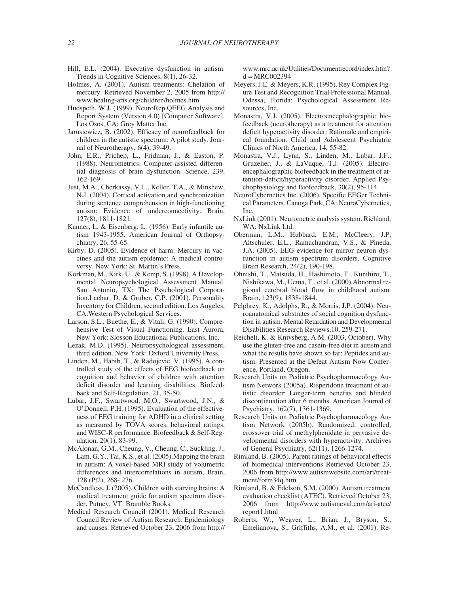- Hill, E.L. (2004). Executive dysfunction in autism. Trends in Cognitive Sciences, 8(1), 26-32.
- Holmes, A. (2001). Autism treatments: Chelation of mercury. Retrieved November 2, 2005 from http:// www.healing-arts.org/children/holmes.htm
- Hudspeth, W.J. (1999). NeuroRep QEEG Analysis and Report System (Version 4.0) [Computer Software]. Los Osos, CA: Grey Matter Inc.
- Jarusiewicz, B. (2002). Efficacy of neurofeedback for children in the autistic spectrum: A pilot study. Journal of Neurotherapy, 6(4), 39-49.
- John, E.R., Prichep, L., Fridman, J., & Easton, P. (1988). Neurometrics: Computer-assisted differential diagnosis of brain dysfunction. Science, 239, 162-169.
- Just, M.A., Cherkassy, V.L., Keller, T.A., & Minshew, N.J. (2004). Cortical activation and synchronization during sentence comprehension in high-functioning autism: Evidence of underconnectivity. Brain, 127(8), 1811-1821.
- Kanner, L. & Eisenberg, L. (1956). Early infantile autism 1943-1955. American Journal of Orthopsychiatry, 26, 55-65.
- Kirby, D. (2005). Evidence of harm: Mercury in vaccines and the autism epidemic: A medical controversy. New York: St. Martin's Press.
- Korkman, M., Kirk, U., & Kemp, S. (1998). A Developmental Neuropsychological Assessment Manual. San Antonio, TX: The Psychological Corporation.Lachar, D. & Gruber, C.P. (2001). Personality Inventory for Children, second edition. Los Angeles, CA:Western Psychological Services.
- Larson, S.L., Buethe, E., & Vitali, G. (1990). Comprehensive Test of Visual Functioning. East Aurora, New York: Slosson Educational Publications, Inc.
- Lezak, M.D. (1995). Neuropsychological assessment, third edition. New York: Oxford University Press.
- Linden, M., Habib, T., & Radojevic, V. (1995). A controlled study of the effects of EEG biofeedback on cognition and behavior of children with attention deficit disorder and learning disabilities. Biofeedback and Self-Regulation, 21, 35-50.
- Lubar, J.F., Swartwood, M.O., Swartwood, J.N., & O'Donnell, P.H. (1995). Evaluation of the effectiveness of EEG training for ADHD in a clinical setting as measured by TOVA scores, behavioral ratings, and WISC-R performance. Biofeedback & Self-Regulation, 20(1), 83-99.
- McAlonan, G.M., Cheung, V., Cheung, C., Suckling, J., Lam, G.Y., Tai, K.S., et al. (2005).Mapping the brain in autism: A voxel-based MRI study of volumetric differences and intercorrelations in autism, Brain, 128 (Pt2), 268- 276.
- McCandless, J. (2005). Children with starving brains: A medical treatment guide for autism spectrum disorder. Putney, VT: Bramble Books.
- Medical Research Council (2001). Medical Research Council Review of Autism Research: Epidemiology and causes. Retrieved October 23, 2006 from http://

www.mrc.ac.uk/Utilities/Documentrecord/index.htm?  $d = MRC002394$ 

- Meyers, J.E. & Meyers, K.R. (1995). Rey Complex Figure Test and Recognition Trial Professional Manual. Odessa, Florida: Psychological Assessment Resources, Inc.
- Monastra, V.J. (2005). Electroencephalographic biofeedback (neurotherapy) as a treatment for attention deficit hyperactivity disorder: Rationale and empirical foundation. Child and Adolescent Psychiatric Clinics of North America, 14, 55-82.
- Monastra, V.J., Lynn, S., Linden, M., Lubar, J.F., Gruzelier, J., & LaVaque, T.J. (2005). Electroencephalographic biofeedback in the treatment of attention-deficit/hyperactivity disorder. Applied Psychophysiology and Biofeedback, 30(2), 95-114.
- NeuroCybernetics Inc. (2006). Specific EEGer Technical Parameters. Canoga Park, CA: NeuroCybernetics, Inc.
- NxLink (2001). Neurometric analysis system. Richland, WA: NxLink Ltd.
- Oberman, L.M., Hubbard, E.M., McCleery, J.P, Altschuler, E.L., Ramachandran, V.S., & Pineda, J.A. (2005). EEG evidence for mirror neuron dysfunction in autism spectrum disorders. Cognitive Brain Research, 24(2), 190-198.
- Ohnishi, T., Matsuda, H., Hashimoto, T., Kunihiro, T., Nishikawa, M., Uema, T., et al. (2000).Abnormal regional cerebral blood flow in childhood autism. Brain, 123(9), 1838-1844.
- Pelphrey, K., Adolphs, R., & Morris, J.P. (2004). Neuroanatomical substrates of social cognition dysfunction in autism. Mental Retardation and Developmental Disabilities Research Reviews,10, 259-271.
- Reichelt, K. & Knivsberg, A.M. (2003, October). Why use the gluten-free and casein-free diet in autism and what the results have shown so far: Peptides and autism. Presented at the Defeat Autism Now Conference, Portland, Oregon.
- Research Units on Pediatric Psychopharmacology Autism Network (2005a). Risperidone treatment of autistic disorder: Longer-term benefits and blinded discontinuation after 6 months. American Journal of Psychiatry, 162(7), 1361-1369.
- Research Units on Pediatric Psychopharmacology Autism Network (2005b). Randomized, controlled, crossover trial of methylphenidate in pervasive developmental disorders with hyperactivity. Archives of General Psychiatry, 62(11), 1266-1274.
- Rimland, B. (2005). Parent ratings of behavioral effects of biomedical interventions Retrieved October 23, 2006 from http://www.autismwebsite.com/ari/treatment/form34q.htm
- Rimland, B. & Edelson, S.M. (2000). Autism treatment evaluation checklist (ATEC). Retrieved October 23, 2006 from http://www.autismeval.com/ari-atec/ report1.html
- Roberts, W., Weaver, L., Brian, J., Bryson, S., Emelianova, S., Griffiths, A.M., et al. (2001). Re-